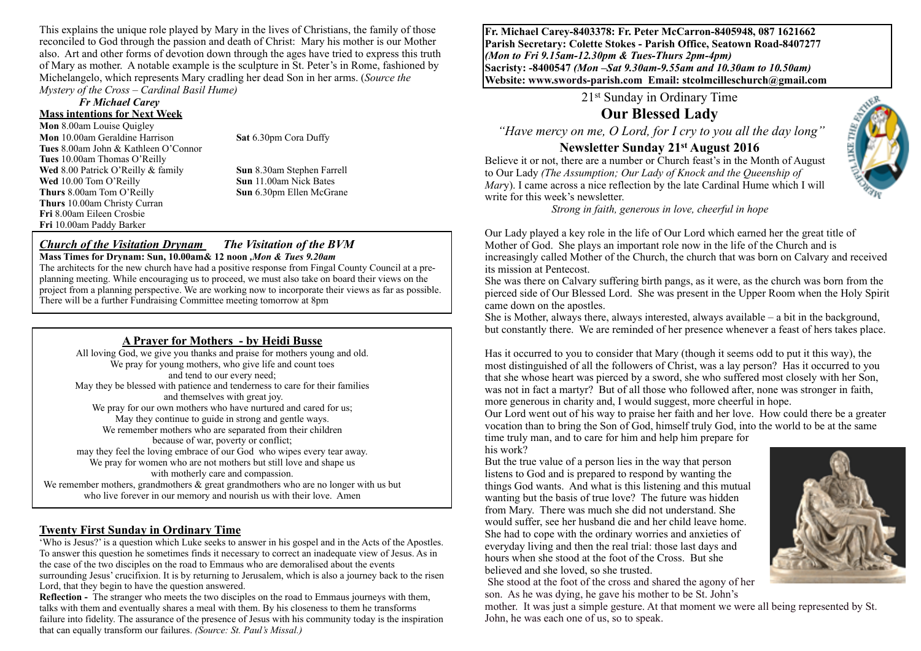This explains the unique role played by Mary in the lives of Christians, the family of those reconciled to God through the passion and death of Christ: Mary his mother is our Mother also. Art and other forms of devotion down through the ages have tried to express this truth of Mary as mother. A notable example is the sculpture in St. Peter's in Rome, fashioned by Michelangelo, which represents Mary cradling her dead Son in her arms. (*Source the Mystery of the Cross – Cardinal Basil Hume)* 

*Fr Michael Carey* **Mass intentions for Next Week** 

**Mon** 8.00am Louise Quigley **Mon** 10.00am Geraldine Harrison **Sat** 6.30pm Cora Duffy **Tues** 8.00am John & Kathleen O'Connor **Tues** 10.00am Thomas O'Reilly **Wed** 8.00 Patrick O'Reilly & family **Sun** 8.30am Stephen Farrell **Wed** 10.00 Tom O'Reilly **Sun** 11.00am Nick Bates **Wed** 10.00 Tom O'Reilly **Sun** 11.00am Nick Bates<br> **Thurs** 8.00am Tom O'Reilly **Sun** 6.30pm Ellen McGrane **Thurs 8.00am Tom O'Reilly Thurs** 10.00am Christy Curran **Fri** 8.00am Eileen Crosbie **Fri** 10.00am Paddy Barker

#### *Church of the Visitation Drynam**The Visitation of the BVM* **Mass Times for Drynam: Sun, 10.00am& 12 noon** *,Mon & Tues 9.20am*

The architects for the new church have had a positive response from Fingal County Council at a preplanning meeting. While encouraging us to proceed, we must also take on board their views on the project from a planning perspective. We are working now to incorporate their views as far as possible. There will be a further Fundraising Committee meeting tomorrow at 8pm

#### **A Prayer for Mothers - by Heidi Busse**

All loving God, we give you thanks and praise for mothers young and old. We pray for young mothers, who give life and count toes and tend to our every need; May they be blessed with patience and tenderness to care for their families and themselves with great joy. We pray for our own mothers who have nurtured and cared for us; May they continue to guide in strong and gentle ways. We remember mothers who are separated from their children because of war, poverty or conflict; may they feel the loving embrace of our God who wipes every tear away. We pray for women who are not mothers but still love and shape us with motherly care and compassion. We remember mothers, grandmothers  $\&$  great grandmothers who are no longer with us but who live forever in our memory and nourish us with their love. Amen

#### **Twenty First Sunday in Ordinary Time**

'Who is Jesus?' is a question which Luke seeks to answer in his gospel and in the Acts of the Apostles. To answer this question he sometimes finds it necessary to correct an inadequate view of Jesus. As in the case of the two disciples on the road to Emmaus who are demoralised about the events surrounding Jesus' crucifixion. It is by returning to Jerusalem, which is also a journey back to the risen Lord, that they begin to have the question answered.

**Reflection -** The stranger who meets the two disciples on the road to Emmaus journeys with them, talks with them and eventually shares a meal with them. By his closeness to them he transforms failure into fidelity. The assurance of the presence of Jesus with his community today is the inspiration that can equally transform our failures. *(Source: St. Paul's Missal.)*

**Fr. Michael Carey-8403378: Fr. Peter McCarron-8405948, 087 1621662 Parish Secretary: Colette Stokes - Parish Office, Seatown Road-8407277**  *(Mon to Fri 9.15am-12.30pm & Tues-Thurs 2pm-4pm)*  **Sacristy: -8400547** *(Mon –Sat 9.30am-9.55am and 10.30am to 10.50am)* **Website: [www.swords-parish.com Email:](http://www.swords-parish.com%20%20email) stcolmcilleschurch@gmail.com**

21st Sunday in Ordinary Time

**Our Blessed Lady** 

 *"Have mercy on me, O Lord, for I cry to you all the day long"* 

#### **Newsletter Sunday 21st August 2016**

Believe it or not, there are a number or Church feast's in the Month of August to Our Lady *(The Assumption; Our Lady of Knock and the Queenship of Mary*). I came across a nice reflection by the late Cardinal Hume which I will write for this week's newsletter.



*Strong in faith, generous in love, cheerful in hope* 

Our Lady played a key role in the life of Our Lord which earned her the great title of Mother of God. She plays an important role now in the life of the Church and is increasingly called Mother of the Church, the church that was born on Calvary and received its mission at Pentecost.

She was there on Calvary suffering birth pangs, as it were, as the church was born from the pierced side of Our Blessed Lord. She was present in the Upper Room when the Holy Spirit came down on the apostles.

She is Mother, always there, always interested, always available – a bit in the background, but constantly there. We are reminded of her presence whenever a feast of hers takes place.

Has it occurred to you to consider that Mary (though it seems odd to put it this way), the most distinguished of all the followers of Christ, was a lay person? Has it occurred to you that she whose heart was pierced by a sword, she who suffered most closely with her Son, was not in fact a martyr? But of all those who followed after, none was stronger in faith, more generous in charity and, I would suggest, more cheerful in hope.

Our Lord went out of his way to praise her faith and her love. How could there be a greater vocation than to bring the Son of God, himself truly God, into the world to be at the same time truly man, and to care for him and help him prepare for

his work?

But the true value of a person lies in the way that person listens to God and is prepared to respond by wanting the things God wants. And what is this listening and this mutual wanting but the basis of true love? The future was hidden from Mary. There was much she did not understand. She would suffer, see her husband die and her child leave home. She had to cope with the ordinary worries and anxieties of everyday living and then the real trial: those last days and hours when she stood at the foot of the Cross. But she believed and she loved, so she trusted.

 She stood at the foot of the cross and shared the agony of her son. As he was dying, he gave his mother to be St. John's

mother. It was just a simple gesture. At that moment we were all being represented by St. John, he was each one of us, so to speak.